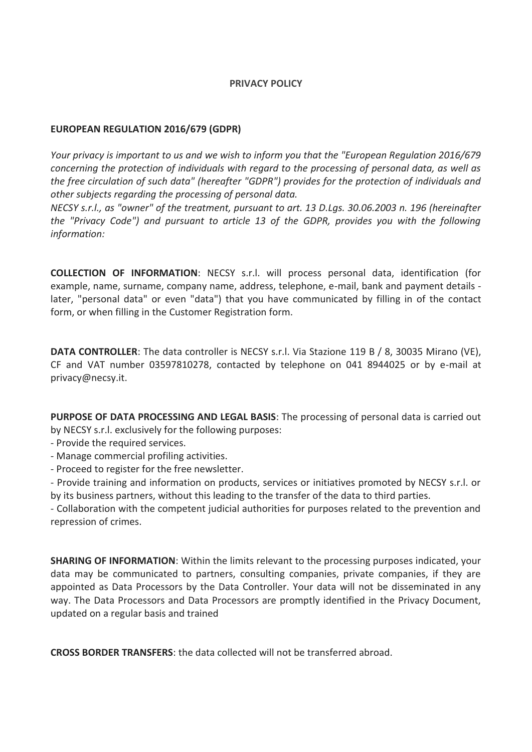## **PRIVACY POLICY**

## **EUROPEAN REGULATION 2016/679 (GDPR)**

*Your privacy is important to us and we wish to inform you that the "European Regulation 2016/679 concerning the protection of individuals with regard to the processing of personal data, as well as the free circulation of such data" (hereafter "GDPR") provides for the protection of individuals and other subjects regarding the processing of personal data.*

*NECSY s.r.l., as "owner" of the treatment, pursuant to art. 13 D.Lgs. 30.06.2003 n. 196 (hereinafter the "Privacy Code") and pursuant to article 13 of the GDPR, provides you with the following information:*

**COLLECTION OF INFORMATION**: NECSY s.r.l. will process personal data, identification (for example, name, surname, company name, address, telephone, e-mail, bank and payment details later, "personal data" or even "data") that you have communicated by filling in of the contact form, or when filling in the Customer Registration form.

**DATA CONTROLLER**: The data controller is NECSY s.r.l. Via Stazione 119 B / 8, 30035 Mirano (VE), CF and VAT number 03597810278, contacted by telephone on 041 8944025 or by e-mail at privacy@necsy.it.

**PURPOSE OF DATA PROCESSING AND LEGAL BASIS**: The processing of personal data is carried out by NECSY s.r.l. exclusively for the following purposes:

- Provide the required services.
- Manage commercial profiling activities.
- Proceed to register for the free newsletter.

- Provide training and information on products, services or initiatives promoted by NECSY s.r.l. or by its business partners, without this leading to the transfer of the data to third parties.

- Collaboration with the competent judicial authorities for purposes related to the prevention and repression of crimes.

**SHARING OF INFORMATION**: Within the limits relevant to the processing purposes indicated, your data may be communicated to partners, consulting companies, private companies, if they are appointed as Data Processors by the Data Controller. Your data will not be disseminated in any way. The Data Processors and Data Processors are promptly identified in the Privacy Document, updated on a regular basis and trained

**CROSS BORDER TRANSFERS**: the data collected will not be transferred abroad.